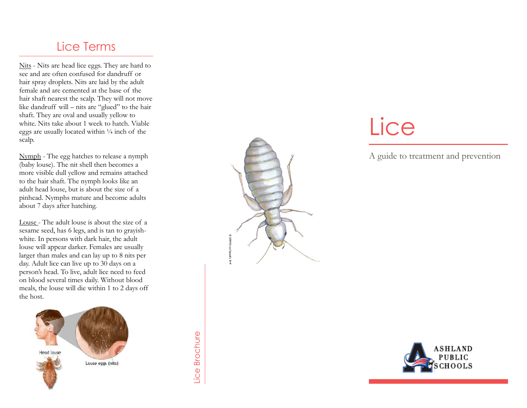### Lice Terms

Nits - Nits are head lice eggs. They are hard to see and are often confused for dandruff or hair spray droplets. Nits are laid by the adult female and are cemented at the base of the hair shaft nearest the scalp. They will not move like dandruff will – nits are "glued" to the hair shaft. They are oval and usually yellow to white. Nits take about 1 week to hatch. Viable eggs are usually located within  $\frac{1}{4}$  inch of the scalp.

Nymph - The egg hatches to release a nymph (baby louse). The nit shell then becomes a more visible dull yellow and remains attached to the hair shaft. The nymph looks like an adult head louse, but is about the size of a pinhead. Nymphs mature and become adults about 7 days after hatching.

Louse - The adult louse is about the size of a sesame seed, has 6 legs, and is tan to grayish white. In persons with dark hair, the adult louse will appear darker. Females are usually larger than males and can lay up to 8 nits per day. Adult lice can live up to 30 days on a person's head. To live, adult lice need to feed on blood several times daily. Without blood meals, the louse will die within 1 to 2 days off the host.



Lice Brochure



A guide to treatment and prevention